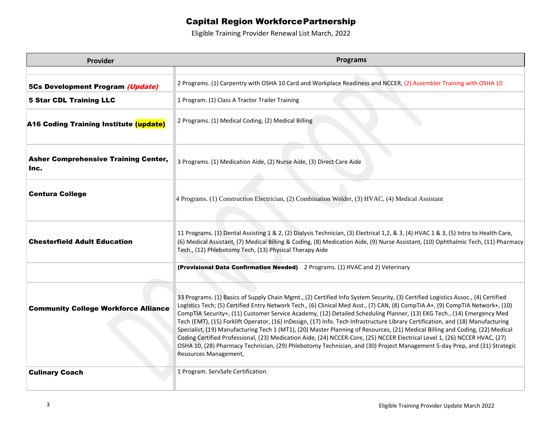## Capital Region WorkforcePartnership

Eligible Training Provider Renewal List March, 2022

| Provider                                            | <b>Programs</b>                                                                                                                                                                                                                                                                                                                                                                                                                                                                                                                                                                                                                                                                                                                                                                                                                                                                                                                                      |
|-----------------------------------------------------|------------------------------------------------------------------------------------------------------------------------------------------------------------------------------------------------------------------------------------------------------------------------------------------------------------------------------------------------------------------------------------------------------------------------------------------------------------------------------------------------------------------------------------------------------------------------------------------------------------------------------------------------------------------------------------------------------------------------------------------------------------------------------------------------------------------------------------------------------------------------------------------------------------------------------------------------------|
|                                                     |                                                                                                                                                                                                                                                                                                                                                                                                                                                                                                                                                                                                                                                                                                                                                                                                                                                                                                                                                      |
| 5Cs Development Program (Update)                    | 2 Programs. (1) Carpentry with OSHA 10 Card and Workplace Readiness and NCCER, (2) Assembler Training with OSHA 10                                                                                                                                                                                                                                                                                                                                                                                                                                                                                                                                                                                                                                                                                                                                                                                                                                   |
| <b>5 Star CDL Training LLC</b>                      | 1 Program. (1) Class A Tractor Trailer Training                                                                                                                                                                                                                                                                                                                                                                                                                                                                                                                                                                                                                                                                                                                                                                                                                                                                                                      |
| <b>A16 Coding Training Institute (update)</b>       | 2 Programs. (1) Medical Coding, (2) Medical Billing                                                                                                                                                                                                                                                                                                                                                                                                                                                                                                                                                                                                                                                                                                                                                                                                                                                                                                  |
| <b>Asher Comprehensive Training Center,</b><br>Inc. | 3 Programs. (1) Medication Aide, (2) Nurse Aide, (3) Direct Care Aide                                                                                                                                                                                                                                                                                                                                                                                                                                                                                                                                                                                                                                                                                                                                                                                                                                                                                |
| <b>Centura College</b>                              | 4 Programs. (1) Construction Electrician, (2) Combination Welder, (3) HVAC, (4) Medical Assistant                                                                                                                                                                                                                                                                                                                                                                                                                                                                                                                                                                                                                                                                                                                                                                                                                                                    |
| <b>Chesterfield Adult Education</b>                 | 11 Programs. (1) Dental Assisting 1 & 2, (2) Dialysis Technician, (3) Electrical 1,2, & 3, (4) HVAC 1 & 3, (5) Intro to Health Care,<br>(6) Medical Assistant, (7) Medical Billing & Coding, (8) Medication Aide, (9) Nurse Assistant, (10) Ophthalmic Tech, (11) Pharmacy<br>Tech., (12) Phlebotomy Tech, (13) Physical Therapy Aide                                                                                                                                                                                                                                                                                                                                                                                                                                                                                                                                                                                                                |
|                                                     | (Provisional Data Confirmation Needed) 2 Programs. (1) HVAC and 2) Veterinary                                                                                                                                                                                                                                                                                                                                                                                                                                                                                                                                                                                                                                                                                                                                                                                                                                                                        |
| <b>Community College Workforce Alliance</b>         | 33 Programs. (1) Basics of Supply Chain Mgmt., (2) Certified Info System Security, (3) Certified Logistics Assoc., (4) Certified<br>Logistics Tech; (5) Certified Entry Network Tech., (6) Clinical Med Asst., (7) CAN, (8) CompTIA A+, (9) CompTIA Network+, (10)<br>CompTIA Security+, (11) Customer Service Academy, (12) Detailed Scheduling Planner, (13) EKG Tech., (14) Emergency Med<br>Tech (EMT), (15) Forklift Operator, (16) InDesign, (17) Info. Tech Infrastructure Library Certification, and (18) Manufacturing<br>Specialist, (19) Manufacturing Tech 1 (MT1), (20) Master Planning of Resources, (21) Medical Billing and Coding, (22) Medical<br>Coding Certified Professional, (23) Medication Aide, (24) NCCER-Core, (25) NCCER Electrical Level 1, (26) NCCER HVAC, (27)<br>OSHA 10, (28) Pharmacy Technician, (29) Phlebotomy Technician, and (30) Project Management 5-day Prep, and (31) Strategic<br>Resources Management, |
| <b>Culinary Coach</b>                               | 1 Program. ServSafe Certification.                                                                                                                                                                                                                                                                                                                                                                                                                                                                                                                                                                                                                                                                                                                                                                                                                                                                                                                   |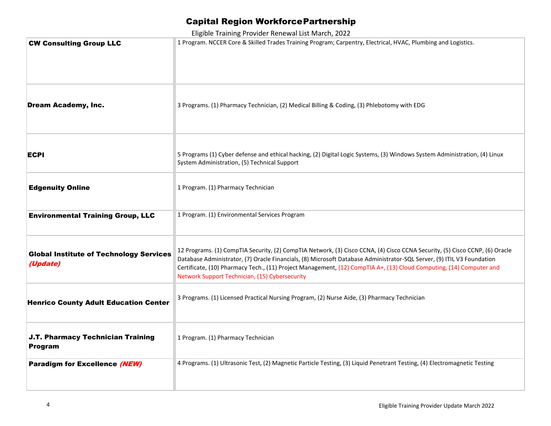## Capital Region WorkforcePartnership

Eligible Training Provider Renewal List March, 2022

| Liigibie Training Frovider Keriewar List March, 2022       |                                                                                                                                                                                                                                                                                                                                                                                                                                |
|------------------------------------------------------------|--------------------------------------------------------------------------------------------------------------------------------------------------------------------------------------------------------------------------------------------------------------------------------------------------------------------------------------------------------------------------------------------------------------------------------|
| <b>CW Consulting Group LLC</b>                             | 1 Program. NCCER Core & Skilled Trades Training Program; Carpentry, Electrical, HVAC, Plumbing and Logistics.                                                                                                                                                                                                                                                                                                                  |
| <b>Dream Academy, Inc.</b>                                 | 3 Programs. (1) Pharmacy Technician, (2) Medical Billing & Coding, (3) Phlebotomy with EDG                                                                                                                                                                                                                                                                                                                                     |
| ECPI                                                       | 5 Programs (1) Cyber defense and ethical hacking, (2) Digital Logic Systems, (3) Windows System Administration, (4) Linux<br>System Administration, (5) Technical Support                                                                                                                                                                                                                                                      |
| <b>Edgenuity Online</b>                                    | 1 Program. (1) Pharmacy Technician                                                                                                                                                                                                                                                                                                                                                                                             |
| <b>Environmental Training Group, LLC</b>                   | 1 Program. (1) Environmental Services Program                                                                                                                                                                                                                                                                                                                                                                                  |
| <b>Global Institute of Technology Services</b><br>(Update) | 12 Programs. (1) CompTIA Security, (2) CompTIA Network, (3) Cisco CCNA, (4) Cisco CCNA Security, (5) Cisco CCNP, (6) Oracle<br>Database Administrator, (7) Oracle Financials, (8) Microsoft Database Administrator-SQL Server, (9) ITIL V3 Foundation<br>Certificate, (10) Pharmacy Tech., (11) Project Management, (12) CompTIA A+, (13) Cloud Computing, (14) Computer and<br>Network Support Technician, (15) Cybersecurity |
| <b>Henrico County Adult Education Center</b>               | 3 Programs. (1) Licensed Practical Nursing Program, (2) Nurse Aide, (3) Pharmacy Technician                                                                                                                                                                                                                                                                                                                                    |
| J.T. Pharmacy Technician Training<br><b>Program</b>        | 1 Program. (1) Pharmacy Technician                                                                                                                                                                                                                                                                                                                                                                                             |
| Paradigm for Excellence (NEW)                              | 4 Programs. (1) Ultrasonic Test, (2) Magnetic Particle Testing, (3) Liquid Penetrant Testing, (4) Electromagnetic Testing                                                                                                                                                                                                                                                                                                      |